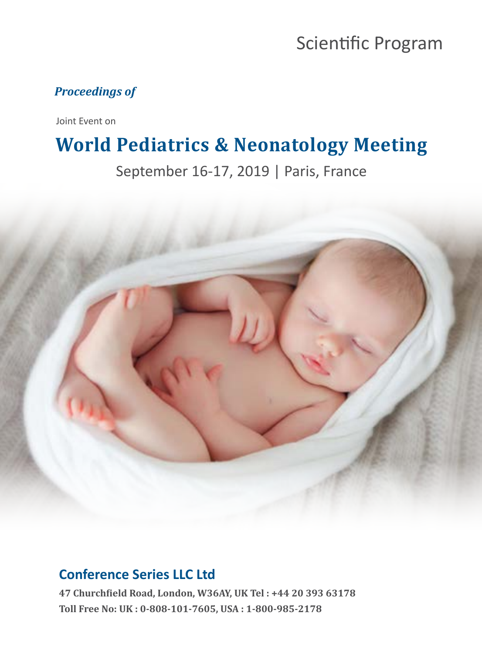# Scientific Program

#### *Proceedings of*

Joint Event on

## **World Pediatrics & Neonatology Meeting**

September 16-17, 2019 | Paris, France



## **Conference Series LLC Ltd**

**47 Churchfield Road, London, W36AY, UK Tel : +44 20 393 63178 Toll Free No: UK : 0-808-101-7605, USA : 1-800-985-2178**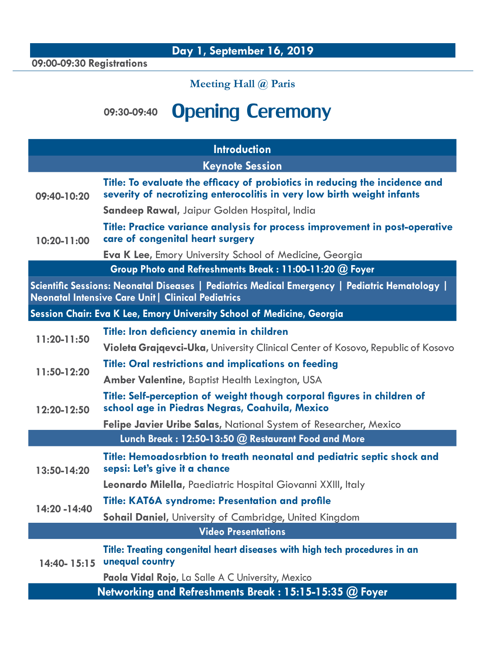**09:00-09:30 Registrations** 

### **Meeting Hall @ Paris**

# **09:30-09:40** Opening Ceremony

| <b>Introduction</b>                                                                                                                                         |                                                                                                                                                       |  |
|-------------------------------------------------------------------------------------------------------------------------------------------------------------|-------------------------------------------------------------------------------------------------------------------------------------------------------|--|
| <b>Keynote Session</b>                                                                                                                                      |                                                                                                                                                       |  |
| $09:40-10:20$                                                                                                                                               | Title: To evaluate the efficacy of probiotics in reducing the incidence and<br>severity of necrotizing enterocolitis in very low birth weight infants |  |
|                                                                                                                                                             | Sandeep Rawal, Jaipur Golden Hospital, India                                                                                                          |  |
| $10:20 - 11:00$                                                                                                                                             | Title: Practice variance analysis for process improvement in post-operative<br>care of congenital heart surgery                                       |  |
|                                                                                                                                                             | <b>Eva K Lee, Emory University School of Medicine, Georgia</b>                                                                                        |  |
| Group Photo and Refreshments Break: 11:00-11:20 @ Foyer                                                                                                     |                                                                                                                                                       |  |
| Scientific Sessions: Neonatal Diseases   Pediatrics Medical Emergency   Pediatric Hematology  <br><b>Neonatal Intensive Care Unit   Clinical Pediatrics</b> |                                                                                                                                                       |  |
| Session Chair: Eva K Lee, Emory University School of Medicine, Georgia                                                                                      |                                                                                                                                                       |  |
| 11:20-11:50                                                                                                                                                 | Title: Iron deficiency anemia in children                                                                                                             |  |
|                                                                                                                                                             | Violeta Grajqevci-Uka, University Clinical Center of Kosovo, Republic of Kosovo                                                                       |  |
| 11:50-12:20                                                                                                                                                 | <b>Title: Oral restrictions and implications on feeding</b>                                                                                           |  |
|                                                                                                                                                             | Amber Valentine, Baptist Health Lexington, USA                                                                                                        |  |
| $12:20 - 12:50$                                                                                                                                             | Title: Self-perception of weight though corporal figures in children of<br>school age in Piedras Negras, Coahuila, Mexico                             |  |
|                                                                                                                                                             | Felipe Javier Uribe Salas, National System of Researcher, Mexico                                                                                      |  |
|                                                                                                                                                             | Lunch Break: 12:50-13:50 @ Restaurant Food and More                                                                                                   |  |
| 13:50-14:20                                                                                                                                                 | Title: Hemoadosrbtion to treath neonatal and pediatric septic shock and<br>sepsi: Let's give it a chance                                              |  |
|                                                                                                                                                             | Leonardo Milella, Paediatric Hospital Giovanni XXIII, Italy                                                                                           |  |
| 14:20 - 14:40                                                                                                                                               | <b>Title: KAT6A syndrome: Presentation and profile</b>                                                                                                |  |
|                                                                                                                                                             | Sohail Daniel, University of Cambridge, United Kingdom                                                                                                |  |
| <b>Video Presentations</b>                                                                                                                                  |                                                                                                                                                       |  |
| 14:40-15:15                                                                                                                                                 | Title: Treating congenital heart diseases with high tech procedures in an<br>unequal country                                                          |  |
|                                                                                                                                                             | Paola Vidal Rojo, La Salle A C University, Mexico                                                                                                     |  |
| Networking and Refreshments Break: 15:15-15:35 @ Foyer                                                                                                      |                                                                                                                                                       |  |